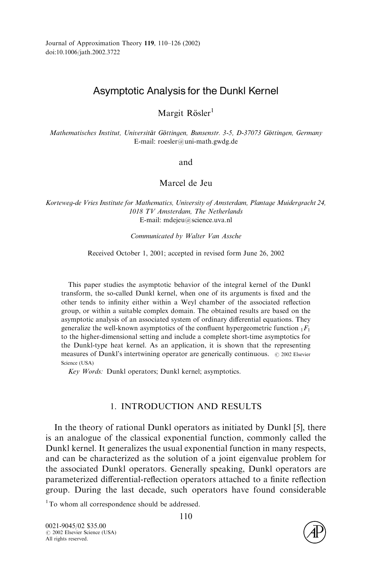# Asymptotic Analysis for the Dunkl Kernel

Margit Rösler<sup>1</sup>

Mathematisches Institut, Universität Göttingen, Bunsenstr. 3-5, D-37073 Göttingen, Germany E-mail: roesler@uni-math.gwdg.de

and

## Marcel de Jeu

Korteweg-de Vries Institute for Mathematics, University of Amsterdam, Plantage Muidergracht 24, 1018 TV Amsterdam, The Netherlands E-mail: mdejeu@science.uva.nl

Communicated by Walter Van Assche

Received October 1, 2001; accepted in revised form June 26, 2002

This paper studies the asymptotic behavior of the integral kernel of the Dunkl transform, the so-called Dunkl kernel, when one of its arguments is fixed and the other tends to infinity either within a Weyl chamber of the associated reflection group, or within a suitable complex domain. The obtained results are based on the asymptotic analysis of an associated system of ordinary differential equations. They generalize the well-known asymptotics of the confluent hypergeometric function  $_1F_1$ to the higher-dimensional setting and include a complete short-time asymptotics for the Dunkl-type heat kernel. As an application, it is shown that the representing measures of Dunkl's intertwining operator are generically continuous.  $\odot$  2002 Elsevier Science (USA)

Key Words: Dunkl operators; Dunkl kernel; asymptotics.

## 1. INTRODUCTION AND RESULTS

In the theory of rational Dunkl operators as initiated by Dunkl [\[5\]](#page-15-0), there is an analogue of the classical exponential function, commonly called the Dunkl kernel. It generalizes the usual exponential function in many respects, and can be characterized as the solution of a joint eigenvalue problem for the associated Dunkl operators. Generally speaking, Dunkl operators are parameterized differential-reflection operators attached to a finite reflection group. During the last decade, such operators have found considerable

<sup>1</sup>To whom all correspondence should be addressed.

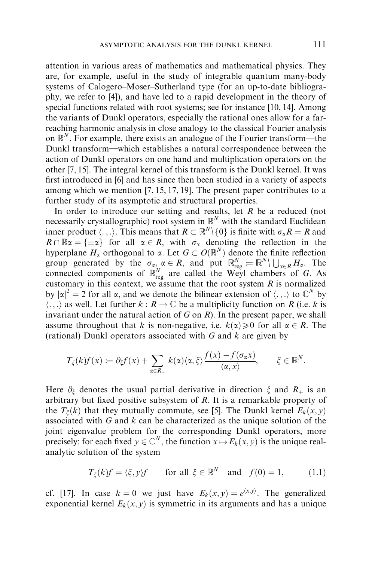attention in various areas of mathematics and mathematical physics. They are, for example, useful in the study of integrable quantum many-body systems of Calogero–Moser–Sutherland type (for an up-to-date bibliography, we refer to [\[4\]](#page-15-0)), and have led to a rapid development in the theory of special functions related with root systems; see for instance [\[10](#page-16-0), [14\].](#page-16-0) Among the variants of Dunkl operators, especially the rational ones allow for a farreaching harmonic analysis in close analogy to the classical Fourier analysis on  $\mathbb{R}^N$ . For example, there exists an analogue of the Fourier transform—the Dunkl transform—which establishes a natural correspondence between the action of Dunkl operators on one hand and multiplication operators on the other [\[7, 15\]](#page-16-0). The integral kernel of this transform is the Dunkl kernel. It was first introduced in [\[6\]](#page-15-0) and has since then been studied in a variety of aspects among which we mention [\[7, 15](#page-16-0), [17, 19\].](#page-16-0) The present paper contributes to a further study of its asymptotic and structural properties.

In order to introduce our setting and results, let  $R$  be a reduced (not necessarily crystallographic) root system in  $\mathbb{R}^N$  with the standard Euclidean inner product  $\langle \ldots \rangle$ . This means that  $R \subset \mathbb{R}^N \setminus \{0\}$  is finite with  $\sigma_\alpha R = R$  and  $R \cap \mathbb{R} \alpha = {\pm \alpha}$  for all  $\alpha \in R$ , with  $\sigma_{\alpha}$  denoting the reflection in the hyperplane  $H_{\alpha}$  orthogonal to  $\alpha$ . Let  $G \subset O(\mathbb{R}^N)$  denote the finite reflection group generated by the  $\sigma_{\alpha}$ ,  $\alpha \in R$ , and put  $\mathbb{R}^N_{reg} = \mathbb{R}^N \setminus \bigcup_{\alpha \in R} H_{\alpha}$ . The connected components of  $\mathbb{R}^N_{reg}$  are called the Weyl chambers of G. As customary in this context, we assume that the root system  $R$  is normalized by  $|\alpha|^2 = 2$  for all  $\alpha$ , and we denote the bilinear extension of  $\langle ., . \rangle$  to  $\mathbb{C}^N$  by  $\langle \ldots \rangle$  as well. Let further  $k : R \to \mathbb{C}$  be a multiplicity function on R (i.e. k is invariant under the natural action of G on  $R$ ). In the present paper, we shall assume throughout that k is non-negative, i.e.  $k(\alpha) \ge 0$  for all  $\alpha \in R$ . The (rational) Dunkl operators associated with  $G$  and  $k$  are given by

$$
T_{\xi}(k)f(x) := \partial_{\xi}f(x) + \sum_{\alpha \in R_{+}} k(\alpha)\langle \alpha, \xi \rangle \frac{f(x) - f(\sigma_{\alpha}x)}{\langle \alpha, x \rangle}, \qquad \xi \in \mathbb{R}^{N}.
$$

Here  $\partial_{\xi}$  denotes the usual partial derivative in direction  $\xi$  and  $R_{+}$  is an arbitrary but fixed positive subsystem of  $R$ . It is a remarkable property of the  $T_{\xi}(k)$  that they mutually commute, see [\[5\].](#page-15-0) The Dunkl kernel  $E_k(x, y)$ associated with  $G$  and  $k$  can be characterized as the unique solution of the joint eigenvalue problem for the corresponding Dunkl operators, more precisely: for each fixed  $y \in \mathbb{C}^N$ , the function  $x \mapsto E_k(x, y)$  is the unique realanalytic solution of the system

$$
T_{\xi}(k)f = \langle \xi, y \rangle f \quad \text{for all } \xi \in \mathbb{R}^N \quad \text{and} \quad f(0) = 1, \quad (1.1)
$$

cf. [\[17\]](#page-16-0). In case  $k = 0$  we just have  $E_k(x, y) = e^{(x, y)}$ . The generalized exponential kernel  $E_k(x, y)$  is symmetric in its arguments and has a unique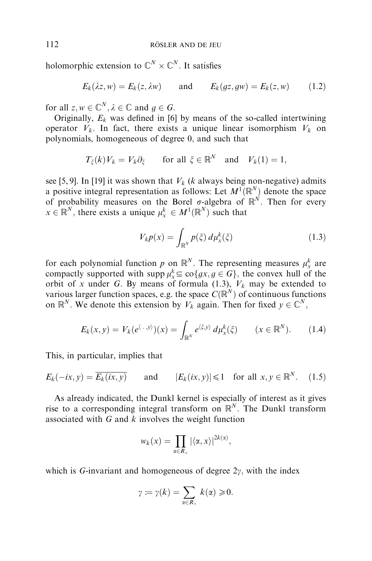holomorphic extension to  $\mathbb{C}^N\times \mathbb{C}^N$ . It satisfies

$$
E_k(\lambda z, w) = E_k(z, \lambda w) \quad \text{and} \quad E_k(gz, gw) = E_k(z, w) \quad (1.2)
$$

for all  $z, w \in \mathbb{C}^N, \lambda \in \mathbb{C}$  and  $g \in G$ .

Originally,  $E_k$  was defined in [\[6\]](#page-15-0) by means of the so-called intertwining operator  $V_k$ . In fact, there exists a unique linear isomorphism  $V_k$  on polynomials, homogeneous of degree 0; and such that

$$
T_{\xi}(k)V_k = V_k \partial_{\xi}
$$
 for all  $\xi \in \mathbb{R}^N$  and  $V_k(1) = 1$ ,

see [\[5,](#page-15-0) [9\].](#page-16-0) In [\[19\]](#page-16-0) it was shown that  $V_k$  (k always being non-negative) admits a positive integral representation as follows: Let  $M^1(\mathbb{R}^N)$  denote the space of probability measures on the Borel  $\sigma$ -algebra of  $\mathbb{R}^N$ . Then for every  $x \in \mathbb{R}^N$ , there exists a unique  $\mu_x^k \in M^1(\mathbb{R}^N)$  such that

$$
V_{k}p(x) = \int_{\mathbb{R}^{N}} p(\xi) d\mu_{x}^{k}(\xi)
$$
 (1.3)

for each polynomial function p on  $\mathbb{R}^N$ . The representing measures  $\mu_x^k$  are compactly supported with supp  $\mu_x^k \subseteq \text{co}\lbrace gx, g \in G \rbrace$ , the convex hull of the orbit of x under G. By means of formula (1.3),  $V_k$  may be extended to various larger function spaces, e.g. the space  $C(\mathbb{R}^N)$  of continuous functions on  $\mathbb{R}^N$ . We denote this extension by  $V_k$  again. Then for fixed  $y \in \mathbb{C}^N$ ,

$$
E_k(x, y) = V_k(e^{\langle \cdot, y \rangle})(x) = \int_{\mathbb{R}^N} e^{\langle \xi, y \rangle} d\mu_x^k(\xi) \qquad (x \in \mathbb{R}^N). \tag{1.4}
$$

This, in particular, implies that

$$
E_k(-ix, y) = \overline{E_k(ix, y)} \quad \text{and} \quad |E_k(ix, y)| \le 1 \quad \text{for all } x, y \in \mathbb{R}^N. \quad (1.5)
$$

As already indicated, the Dunkl kernel is especially of interest as it gives rise to a corresponding integral transform on  $\mathbb{R}^{N}$ . The Dunkl transform associated with  $G$  and  $k$  involves the weight function

$$
w_k(x) = \prod_{\alpha \in R_+} |\langle \alpha, x \rangle|^{2k(\alpha)},
$$

which is G-invariant and homogeneous of degree  $2\gamma$ , with the index

$$
\gamma := \gamma(k) = \sum_{\alpha \in R_+} k(\alpha) \geq 0.
$$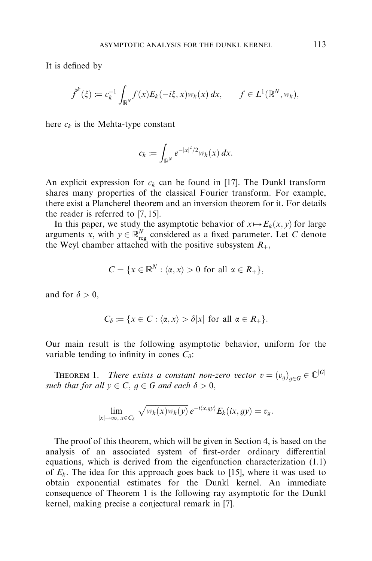It is defined by

$$
\hat{f}^k(\xi) \coloneqq c_k^{-1} \int_{\mathbb{R}^N} f(x) E_k(-i\xi, x) w_k(x) dx, \qquad f \in L^1(\mathbb{R}^N, w_k),
$$

here  $c_k$  is the Mehta-type constant

$$
c_k \coloneqq \int_{\mathbb{R}^N} e^{-|x|^2/2} w_k(x) dx.
$$

An explicit expression for  $c_k$  can be found in [\[17\]](#page-16-0). The Dunkl transform shares many properties of the classical Fourier transform. For example, there exist a Plancherel theorem and an inversion theorem for it. For details the reader is referred to [\[7, 15\].](#page-16-0)

In this paper, we study the asymptotic behavior of  $x \mapsto E_k(x, y)$  for large arguments x, with  $y \in \mathbb{R}^N_{reg}$  considered as a fixed parameter. Let C denote the Weyl chamber attached with the positive subsystem  $R_+$ ,

$$
C = \{x \in \mathbb{R}^N : \langle \alpha, x \rangle > 0 \text{ for all } \alpha \in R_+\},\
$$

and for  $\delta > 0$ .

$$
C_{\delta} := \{ x \in C : \langle \alpha, x \rangle > \delta |x| \text{ for all } \alpha \in R_+ \}.
$$

Our main result is the following asymptotic behavior, uniform for the variable tending to infinity in cones  $C_{\delta}$ :

**THEOREM 1.** There exists a constant non-zero vector  $v = (v_g)_{g \in G} \in \mathbb{C}^{|G|}$ such that for all  $y \in C$ ,  $g \in G$  and each  $\delta > 0$ ,

$$
\lim_{|x|\to\infty,\ x\in C_\delta} \sqrt{w_k(x)w_k(y)}\,e^{-i\langle x,gy\rangle}E_k(ix,gy)=v_g.
$$

The proof of this theorem, which will be given in [Section 4,](#page-11-0) is based on the analysis of an associated system of first-order ordinary differential equations, which is derived from the eigenfunction characterization (1.1) of  $E_k$ . The idea for this approach goes back to [\[15\]](#page-16-0), where it was used to obtain exponential estimates for the Dunkl kernel. An immediate consequence of Theorem 1 is the following ray asymptotic for the Dunkl kernel, making precise a conjectural remark in [\[7\]](#page-16-0).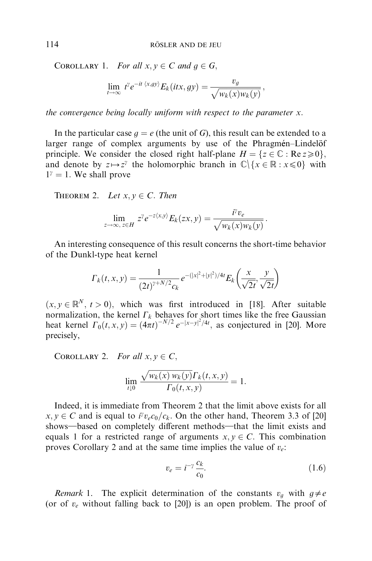COROLLARY 1. For all  $x, y \in C$  and  $q \in G$ ;

$$
\lim_{t\to\infty} t^{\gamma}e^{-it\langle x,gy\rangle}E_k(itx,gy)=\frac{v_g}{\sqrt{w_k(x)w_k(y)}},
$$

the convergence being locally uniform with respect to the parameter  $x$ .

In the particular case  $g = e$  (the unit of G), this result can be extended to a larger range of complex arguments by use of the Phragmen–Lindel of principle. We consider the closed right half-plane  $H = \{z \in \mathbb{C} : \text{Re } z \ge 0\}$ , and denote by  $z \mapsto z^{\gamma}$  the holomorphic branch in  $\mathbb{C}\setminus\{x \in \mathbb{R} : x \leq 0\}$  with  $1^{\gamma} = 1$ . We shall prove

THEOREM 2. Let  $x, y \in C$ . Then

$$
\lim_{z \to \infty, z \in H} z^{\gamma} e^{-z\langle x, y \rangle} E_k(zx, y) = \frac{i^{\gamma} v_e}{\sqrt{w_k(x) w_k(y)}}.
$$

An interesting consequence of this result concerns the short-time behavior of the Dunkl-type heat kernel

$$
\Gamma_k(t, x, y) = \frac{1}{(2t)^{\gamma + N/2} c_k} e^{-(|x|^2 + |y|^2)/4t} E_k\left(\frac{x}{\sqrt{2t}}, \frac{y}{\sqrt{2t}}\right)
$$

 $(x, y \in \mathbb{R}^N, t > 0)$ , which was first introduced in [[18\]](#page-16-0). After suitable normalization, the kernel  $\Gamma_k$  behaves for short times like the free Gaussian heat kernel  $\Gamma_0(t, x, y) = (4\pi t)^{-N/2} e^{-|x-y|^2/4t}$ , as conjectured in [\[20\].](#page-16-0) More precisely,

COROLLARY 2. For all  $x, y \in C$ ,

$$
\lim_{t \downarrow 0} \frac{\sqrt{w_k(x) w_k(y)} \Gamma_k(t, x, y)}{\Gamma_0(t, x, y)} = 1.
$$

Indeed, it is immediate from Theorem 2 that the limit above exists for all  $x, y \in C$  and is equal to  $\bar{i}v_{e}c_{0}/c_{k}$ . On the other hand, Theorem 3.3 of [\[20\]](#page-16-0) shows—based on completely different methods—that the limit exists and equals 1 for a restricted range of arguments  $x, y \in C$ . This combination proves Corollary 2 and at the same time implies the value of  $v_e$ .

$$
v_e = i^{-\gamma} \frac{c_k}{c_0}.\tag{1.6}
$$

Remark 1. The explicit determination of the constants  $v_g$  with  $g \neq e$ (or of  $v_e$  without falling back to [\[20\]\)](#page-16-0) is an open problem. The proof of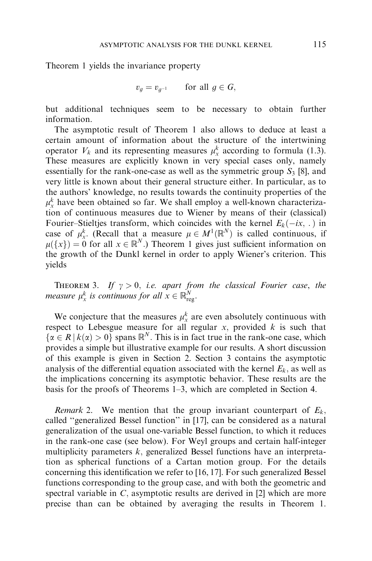Theorem 1 yields the invariance property

$$
v_g = v_{g^{-1}} \qquad \text{for all } g \in G,
$$

but additional techniques seem to be necessary to obtain further information.

The asymptotic result of Theorem 1 also allows to deduce at least a certain amount of information about the structure of the intertwining operator  $V_k$  and its representing measures  $\mu^k_x$  according to formula (1.3). These measures are explicitly known in very special cases only, namely essentially for the rank-one-case as well as the symmetric group  $S_3$  [\[8\]](#page-16-0), and very little is known about their general structure either. In particular, as to the authors' knowledge, no results towards the continuity properties of the  $\mu_x^k$  have been obtained so far. We shall employ a well-known characterization of continuous measures due to Wiener by means of their (classical) Fourier–Stieltjes transform, which coincides with the kernel  $E_k(-ix, \cdot)$  in case of  $\mu_x^k$ . (Recall that a measure  $\mu \in M^1(\mathbb{R}^N)$  is called continuous, if  $\mu({x}) = 0$  for all  $x \in \mathbb{R}^{N}$ .) Theorem 1 gives just sufficient information on the growth of the Dunkl kernel in order to apply Wiener's criterion. This yields

THEOREM 3. If  $\gamma > 0$ , i.e. apart from the classical Fourier case, the measure  $\mu_x^k$  is continuous for all  $x \in \mathbb{R}^N_{reg}$ .

We conjecture that the measures  $\mu_x^k$  are even absolutely continuous with respect to Lebesgue measure for all regular  $x$ , provided  $k$  is such that  $\{\alpha \in R \mid k(\alpha) > 0\}$  spans  $\mathbb{R}^N$ . This is in fact true in the rank-one case, which provides a simple but illustrative example for our results. A short discussion of this example is given in [Section 2.](#page-6-0) [Section 3](#page-7-0)contains the asymptotic analysis of the differential equation associated with the kernel  $E_k$ , as well as the implications concerning its asymptotic behavior. These results are the basis for the proofs of Theorems 1–3, which are completed in [Section 4.](#page-11-0)

Remark 2. We mention that the group invariant counterpart of  $E_k$ , called ''generalized Bessel function'' in [\[17\],](#page-16-0) can be considered as a natural generalization of the usual one-variable Bessel function, to which it reduces in the rank-one case (see below). For Weyl groups and certain half-integer multiplicity parameters  $k$ , generalized Bessel functions have an interpretation as spherical functions of a Cartan motion group. For the details concerning this identification we refer to [\[16](#page-16-0), [17\]](#page-16-0). For such generalized Bessel functions corresponding to the group case, and with both the geometric and spectral variable in  $C$ , asymptotic results are derived in [\[2\]](#page-15-0) which are more precise than can be obtained by averaging the results in Theorem 1.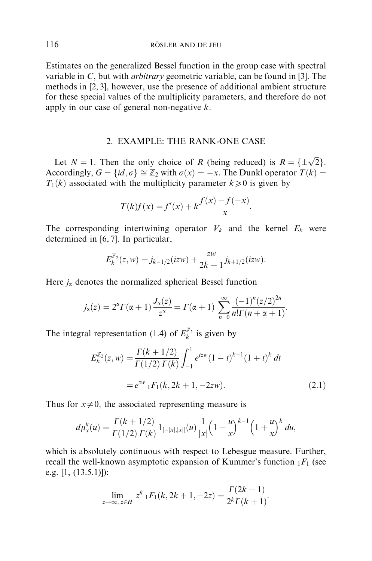<span id="page-6-0"></span>Estimates on the generalized Bessel function in the group case with spectral variable in  $C$ , but with *arbitrary* geometric variable, can be found in [\[3\].](#page-15-0) The methods in [\[2, 3\],](#page-15-0) however, use the presence of additional ambient structure for these special values of the multiplicity parameters, and therefore do not apply in our case of general non-negative  $k$ .

### 2. EXAMPLE: THE RANK-ONE CASE

Let  $N = 1$ . Then the only choice of R (being reduced) is  $R = \{ \pm \sqrt{2} \}$ . Accordingly,  $G = \{id, \sigma\} \cong \mathbb{Z}_2$  with  $\sigma(x) = -x$ . The Dunkl operator  $T(k) =$  $T_1(k)$  associated with the multiplicity parameter  $k \geq 0$  is given by

$$
T(k)f(x) = f'(x) + k \frac{f(x) - f(-x)}{x}.
$$

The corresponding intertwining operator  $V_k$  and the kernel  $E_k$  were determined in [\[6,](#page-15-0) [7\].](#page-16-0) In particular,

$$
E_k^{\mathbb{Z}_2}(z,w) = j_{k-1/2}(izw) + \frac{zw}{2k+1}j_{k+1/2}(izw).
$$

Here  $j_{\alpha}$  denotes the normalized spherical Bessel function

$$
j_{\alpha}(z) = 2^{\alpha} \Gamma(\alpha + 1) \frac{J_{\alpha}(z)}{z^{\alpha}} = \Gamma(\alpha + 1) \sum_{n=0}^{\infty} \frac{(-1)^{n} (z/2)^{2n}}{n! \Gamma(n + \alpha + 1)}.
$$

The integral representation (1.4) of  $E_k^{\mathbb{Z}_2}$  is given by

$$
E_k^{\mathbb{Z}_2}(z, w) = \frac{\Gamma(k + 1/2)}{\Gamma(1/2)\Gamma(k)} \int_{-1}^1 e^{tzw} (1 - t)^{k-1} (1 + t)^k dt
$$
  
=  $e^{zw} {}_1F_1(k, 2k + 1, -2zw).$  (2.1)

Thus for  $x\neq0$ , the associated representing measure is

$$
d\mu_x^k(u) = \frac{\Gamma(k+1/2)}{\Gamma(1/2)\Gamma(k)} 1_{[-|x|,|x|]}(u) \frac{1}{|x|} \left(1 - \frac{u}{x}\right)^{k-1} \left(1 + \frac{u}{x}\right)^k du,
$$

which is absolutely continuous with respect to Lebesgue measure. Further, recall the well-known asymptotic expansion of Kummer's function  $_1F_1$  (see e.g. [\[1,](#page-15-0) (13.5.1)]):

$$
\lim_{z \to \infty, z \in H} z^k \, {}_1F_1(k, 2k+1, -2z) = \frac{\Gamma(2k+1)}{2^k \Gamma(k+1)}.
$$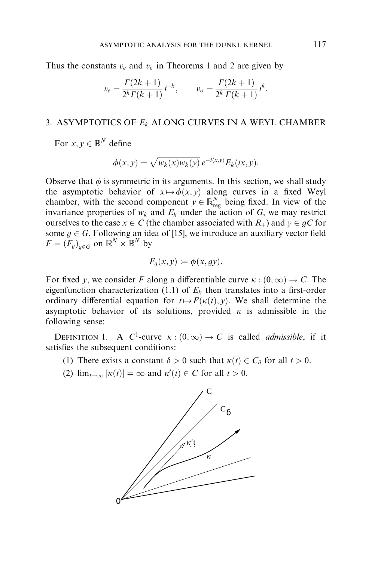<span id="page-7-0"></span>Thus the constants  $v_e$  and  $v_\sigma$  in Theorems 1 and 2 are given by

$$
v_e = \frac{\Gamma(2k+1)}{2^k \Gamma(k+1)} i^{-k}, \qquad v_\sigma = \frac{\Gamma(2k+1)}{2^k \Gamma(k+1)} i^k.
$$

#### 3. ASYMPTOTICS OF  $E_k$  ALONG CURVES IN A WEYL CHAMBER

For  $x, y \in \mathbb{R}^N$  define

$$
\phi(x,y) = \sqrt{w_k(x)w_k(y)}\,e^{-i\langle x,y\rangle}E_k(ix,y).
$$

Observe that  $\phi$  is symmetric in its arguments. In this section, we shall study the asymptotic behavior of  $x \mapsto \phi(x, y)$  along curves in a fixed Weyl chamber, with the second component  $y \in \mathbb{R}^N_{reg}$  being fixed. In view of the invariance properties of  $w_k$  and  $E_k$  under the action of G, we may restrict ourselves to the case  $x \in C$  (the chamber associated with  $R_+$ ) and  $y \in gC$  for some  $q \in G$ . Following an idea of [\[15\],](#page-16-0) we introduce an auxiliary vector field  $F = (F_q)_{q \in G}$  on  $\mathbb{R}^N \times \mathbb{R}^N$  by

$$
F_g(x, y) \coloneqq \phi(x, gy).
$$

For fixed y, we consider F along a differentiable curve  $\kappa : (0, \infty) \to C$ . The eigenfunction characterization (1.1) of  $E<sub>k</sub>$  then translates into a first-order ordinary differential equation for  $t \mapsto F(\kappa(t), y)$ . We shall determine the asymptotic behavior of its solutions, provided  $\kappa$  is admissible in the following sense:

DEFINITION 1. A C<sup>1</sup>-curve  $\kappa : (0, \infty) \to C$  is called *admissible*, if it satisfies the subsequent conditions:

- (1) There exists a constant  $\delta > 0$  such that  $\kappa(t) \in C_{\delta}$  for all  $t > 0$ .
- (2)  $\lim_{t \to \infty} |\kappa(t)| = \infty$  and  $\kappa'(t) \in C$  for all  $t > 0$ .

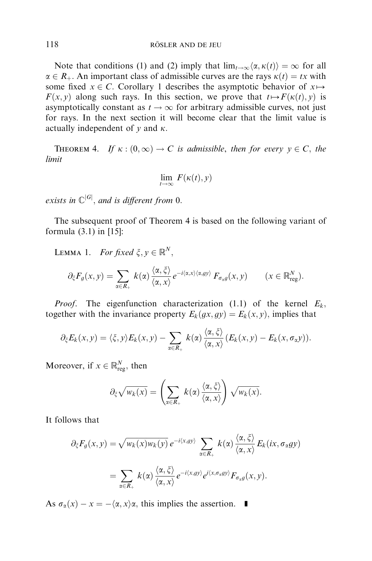Note that conditions (1) and (2) imply that  $\lim_{t\to\infty} \langle \alpha, \kappa(t) \rangle = \infty$  for all  $\alpha \in R_+$ . An important class of admissible curves are the rays  $\kappa(t) = tx$  with some fixed  $x \in C$ . Corollary 1 describes the asymptotic behavior of  $x \mapsto$  $F(x, y)$  along such rays. In this section, we prove that  $t \mapsto F(\kappa(t), y)$  is asymptotically constant as  $t \to \infty$  for arbitrary admissible curves, not just for rays. In the next section it will become clear that the limit value is actually independent of  $\nu$  and  $\kappa$ .

THEOREM 4. If  $\kappa : (0, \infty) \to C$  is admissible, then for every  $v \in C$ , the limit

$$
\lim_{t\to\infty} F(\kappa(t),y)
$$

exists in  $\mathbb{C}^{|G|}$ , and is different from 0.

The subsequent proof of Theorem 4 is based on the following variant of formula (3.1) in [\[15\]:](#page-16-0)

LEMMA 1. For fixed  $\xi, v \in \mathbb{R}^N$ .

$$
\partial_{\xi} F_g(x, y) = \sum_{\alpha \in R_+} k(\alpha) \frac{\langle \alpha, \xi \rangle}{\langle \alpha, x \rangle} e^{-i\langle \alpha, x \rangle \langle \alpha, g y \rangle} F_{\sigma_g g}(x, y) \qquad (x \in \mathbb{R}^N_{reg}).
$$

*Proof.* The eigenfunction characterization (1.1) of the kernel  $E_k$ , together with the invariance property  $E_k(gx, gy) = E_k(x, y)$ , implies that

$$
\partial_{\xi} E_k(x,y) = \langle \xi, y \rangle E_k(x,y) - \sum_{\alpha \in R_+} k(\alpha) \frac{\langle \alpha, \xi \rangle}{\langle \alpha, x \rangle} (E_k(x,y) - E_k(x,\sigma_{\alpha}y)).
$$

Moreover, if  $x \in \mathbb{R}^N_{reg}$ , then

$$
\partial_{\xi} \sqrt{w_k(x)} = \left(\sum_{\alpha \in R_+} k(\alpha) \frac{\langle \alpha, \xi \rangle}{\langle \alpha, x \rangle}\right) \sqrt{w_k(x)}.
$$

It follows that

$$
\partial_{\xi} F_g(x, y) = \sqrt{w_k(x)w_k(y)} e^{-i\langle x, gy \rangle} \sum_{\alpha \in R_+} k(\alpha) \frac{\langle \alpha, \xi \rangle}{\langle \alpha, x \rangle} E_k(ix, \sigma_{\alpha}gy)
$$
  
= 
$$
\sum_{\alpha \in R_+} k(\alpha) \frac{\langle \alpha, \xi \rangle}{\langle \alpha, x \rangle} e^{-i\langle x, gy \rangle} e^{i\langle x, \sigma_{\alpha}gy \rangle} F_{\sigma_{\alpha}g}(x, y).
$$

As  $\sigma_{\alpha}(x) - x = -\langle \alpha, x \rangle \alpha$ , this implies the assertion.  $\blacksquare$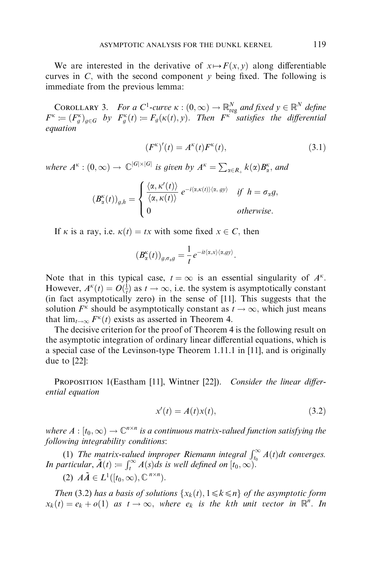We are interested in the derivative of  $x \mapsto F(x, y)$  along differentiable curves in C, with the second component  $\nu$  being fixed. The following is immediate from the previous lemma:

COROLLARY 3. For a C<sup>1</sup>-curve  $\kappa : (0, \infty) \to \mathbb{R}^N_{reg}$  and fixed  $y \in \mathbb{R}^N$  define  $F^{\kappa} := (F_g^{\kappa})_{g \in G}$  by  $F_g^{\kappa}(t) := F_g(\kappa(t), y)$ . Then  $F^{\kappa}$  satisfies the differential equation

$$
(F^{\kappa})'(t) = A^{\kappa}(t)F^{\kappa}(t),\tag{3.1}
$$

where  $A^{\kappa} : (0, \infty) \to \mathbb{C}^{ |G| \times |G| }$  is given by  $A^{\kappa} = \sum_{\alpha \in R_+} k(\alpha) B^{\kappa}_{\alpha}$ , and

$$
\left(B^{\kappa}_{\alpha}(t)\right)_{g,h} = \begin{cases} \frac{\langle \alpha, \kappa'(t) \rangle}{\langle \alpha, \kappa(t) \rangle} e^{-i\langle \alpha, \kappa(t) \rangle \langle \alpha, \, gy \rangle} & \text{if } h = \sigma_{\alpha}g, \\ 0 & \text{otherwise.} \end{cases}
$$

If  $\kappa$  is a ray, i.e.  $\kappa(t) = tx$  with some fixed  $x \in C$ , then

$$
(B_\alpha^{\kappa}(t))_{g,\sigma_x g} = \frac{1}{t} e^{-it\langle \alpha, x \rangle \langle \alpha, g y \rangle}.
$$

Note that in this typical case,  $t = \infty$  is an essential singularity of  $A^k$ . However,  $A^k(t) = O(\frac{1}{t})$  as  $t \to \infty$ , i.e. the system is asymptotically constant (in fact asymptotically zero) in the sense of [\[11\].](#page-16-0) This suggests that the solution  $F^k$  should be asymptotically constant as  $t \to \infty$ , which just means that  $\lim_{t\to\infty} F^{\kappa}(t)$  exists as asserted in Theorem 4.

The decisive criterion for the proof of Theorem 4 is the following result on the asymptotic integration of ordinary linear differential equations, which is a special case of the Levinson-type Theorem 1.11.1 in [[11\]](#page-16-0), and is originally due to [\[22\]:](#page-16-0)

PROPOSITION 1(Eastham [\[11\]](#page-16-0), Wintner [\[22\]\)](#page-16-0). Consider the linear differential equation

$$
x'(t) = A(t)x(t),
$$
\n(3.2)

where  $A : [t_0, \infty) \to \mathbb{C}^{n \times n}$  is a continuous matrix-valued function satisfying the following integrability conditions:

(1) The matrix-valued improper Riemann integral  $\int_{t_0}^{\infty} A(t)dt$  converges.<br>In particular,  $\tilde{A}(t) := \int_{t}^{\infty} A(s)ds$  is well defined on  $[t_0, \infty)$ .

(2)  $A\tilde{A} \in L^1([t_0, \infty), \mathbb{C}^{n \times n})$ .

Then (3.2) has a basis of solutions  $\{x_k(t), 1 \le k \le n\}$  of the asymptotic form  $x_k(t) = e_k + o(1)$  as  $t \to \infty$ , where  $e_k$  is the kth unit vector in  $\mathbb{R}^n$ . In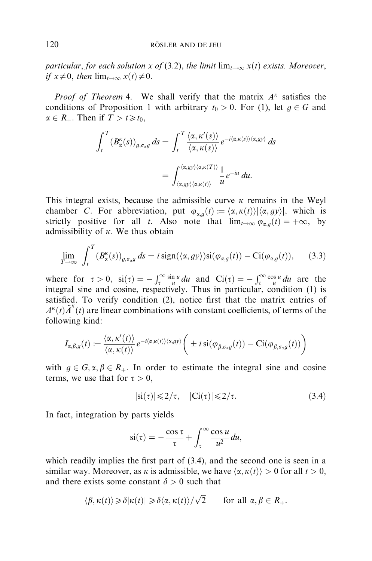particular, for each solution x of (3.2), the limit  $\lim_{t\to\infty} x(t)$  exists. Moreover, if  $x \neq 0$ , then  $\lim_{t \to \infty} x(t) \neq 0$ .

*Proof of Theorem* 4. We shall verify that the matrix  $A^k$  satisfies the conditions of Proposition 1 with arbitrary  $t_0 > 0$ . For (1), let  $q \in G$  and  $\alpha \in R_+$ . Then if  $T > t \geq t_0$ ,

$$
\int_{t}^{T} (B_{\alpha}^{\kappa}(s))_{g,\sigma_{\alpha}g} ds = \int_{t}^{T} \frac{\langle \alpha, \kappa'(s) \rangle}{\langle \alpha, \kappa(s) \rangle} e^{-i \langle \alpha, \kappa(s) \rangle \langle \alpha, g y \rangle} ds
$$

$$
= \int_{\langle \alpha, g y \rangle \langle \alpha, \kappa(t) \rangle}^{\langle \alpha, g y \rangle} \frac{1}{u} e^{-iu} du.
$$

This integral exists, because the admissible curve  $\kappa$  remains in the Weyl chamber C. For abbreviation, put  $\varphi_{\alpha,q}(t) := \langle \alpha, \kappa(t) \rangle |\langle \alpha, \varphi \rangle|$ , which is strictly positive for all t. Also note that  $\lim_{t\to\infty} \varphi_{g,q}(t) = +\infty$ , by admissibility of  $\kappa$ . We thus obtain

$$
\lim_{T \to \infty} \int_{t}^{T} (B_{\alpha}^{\kappa}(s))_{g,\sigma_{\alpha}g} ds = i \operatorname{sign}(\langle \alpha, g y \rangle) \operatorname{si}(\varphi_{\alpha,g}(t)) - \operatorname{Ci}(\varphi_{\alpha,g}(t)), \quad (3.3)
$$

where for  $\tau > 0$ ,  $si(\tau) = -\int_{\tau}^{\infty} \frac{\sin u}{u} du$  and  $Ci(\tau) = -\int_{\tau}^{\infty} \frac{\cos u}{u} du$  are the integral sine and cosine, respectively. Thus in particular, condition (1) is satisfied. To verify condition (2), notice first that the matrix entries of  $A^k(t)$  $\tilde{A}^k(t)$  are linear combinations with constant coefficients, of terms of the following kind:

$$
I_{\alpha,\beta,g}(t)\coloneqq\frac{\langle \alpha,\kappa'(t)\rangle}{\langle \alpha,\kappa(t)\rangle}e^{-i\langle \alpha,\kappa(t)\rangle\langle \alpha,gy\rangle}\bigg(\pm i\mathop{\mathrm{si}}(\varphi_{\beta,\sigma_xg}(t))- \mathop{\mathrm{Ci}}(\varphi_{\beta,\sigma_xg}(t))\bigg)
$$

with  $g \in G, \alpha, \beta \in R_+$ . In order to estimate the integral sine and cosine terms, we use that for  $\tau > 0$ .

$$
|\dot{\mathbf{s}}(\tau)| \leq 2/\tau, \quad |\mathbf{C}\mathbf{i}(\tau)| \leq 2/\tau. \tag{3.4}
$$

In fact, integration by parts yields

$$
\operatorname{si}(\tau) = -\frac{\cos \tau}{\tau} + \int_{\tau}^{\infty} \frac{\cos u}{u^2} du,
$$

which readily implies the first part of (3.4), and the second one is seen in a similar way. Moreover, as  $\kappa$  is admissible, we have  $\langle \alpha, \kappa(t) \rangle > 0$  for all  $t > 0$ . and there exists some constant  $\delta > 0$  such that

$$
\langle \beta, \kappa(t) \rangle \geq \delta |\kappa(t)| \geq \delta \langle \alpha, \kappa(t) \rangle / \sqrt{2} \quad \text{for all } \alpha, \beta \in R_+.
$$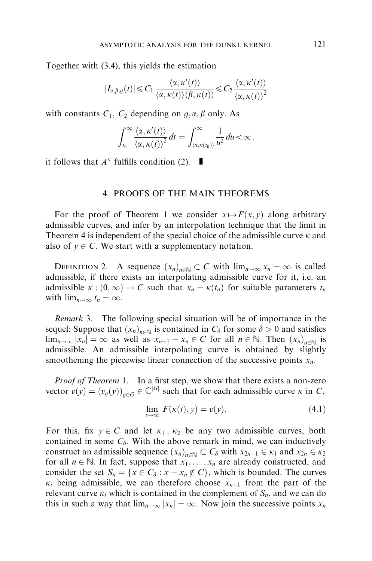<span id="page-11-0"></span>Together with (3.4), this yields the estimation

$$
|I_{\alpha,\beta,g}(t)| \leq C_1 \frac{\langle \alpha, \kappa'(t) \rangle}{\langle \alpha, \kappa(t) \rangle \langle \beta, \kappa(t) \rangle} \leq C_2 \frac{\langle \alpha, \kappa'(t) \rangle}{\langle \alpha, \kappa(t) \rangle^2}
$$

with constants  $C_1$ ,  $C_2$  depending on  $g, \alpha, \beta$  only. As

$$
\int_{t_0}^{\infty} \frac{\langle \alpha, \kappa'(t) \rangle}{\langle \alpha, \kappa(t) \rangle^2} dt = \int_{\langle \alpha, \kappa(t_0) \rangle}^{\infty} \frac{1}{u^2} du < \infty,
$$

it follows that  $A^k$  fulfills condition (2).  $\blacksquare$ 

#### 4. PROOFS OF THE MAIN THEOREMS

For the proof of Theorem 1 we consider  $x \mapsto F(x, y)$  along arbitrary admissible curves, and infer by an interpolation technique that the limit in Theorem 4 is independent of the special choice of the admissible curve  $\kappa$  and also of  $y \in C$ . We start with a supplementary notation.

DEFINITION 2. A sequence  $(x_n)_{n \in \mathbb{N}} \subset C$  with  $\lim_{n \to \infty} x_n = \infty$  is called admissible, if there exists an interpolating admissible curve for it, i.e. an admissible  $\kappa : (0, \infty) \to C$  such that  $x_n = \kappa(t_n)$  for suitable parameters  $t_n$ with  $\lim_{n\to\infty} t_n = \infty$ .

Remark 3. The following special situation will be of importance in the sequel: Suppose that  $(x_n)_{n\in\mathbb{N}}$  is contained in  $C_\delta$  for some  $\delta > 0$  and satisfies  $\lim_{n\to\infty} |x_n| = \infty$  as well as  $x_{n+1} - x_n \in C$  for all  $n \in \mathbb{N}$ . Then  $(x_n)_{n\in\mathbb{N}}$  is admissible. An admissible interpolating curve is obtained by slightly smoothening the piecewise linear connection of the successive points  $x_n$ .

*Proof of Theorem* 1. In a first step, we show that there exists a non-zero vector  $v(y) = (v_g(y))_{g \in G} \in \mathbb{C}^{|G|}$  such that for each admissible curve  $\kappa$  in C,

$$
\lim_{t \to \infty} F(\kappa(t), y) = v(y). \tag{4.1}
$$

For this, fix  $y \in C$  and let  $\kappa_1$ ,  $\kappa_2$  be any two admissible curves, both contained in some  $C_{\delta}$ . With the above remark in mind, we can inductively construct an admissible sequence  $(x_n)_{n \in \mathbb{N}} \subset C_\delta$  with  $x_{2n-1} \in \kappa_1$  and  $x_{2n} \in \kappa_2$ for all  $n \in \mathbb{N}$ . In fact, suppose that  $x_1, \ldots, x_n$  are already constructed, and consider the set  $S_n = \{x \in C_\delta : x - x_n \notin C\}$ , which is bounded. The curves  $\kappa_i$  being admissible, we can therefore choose  $x_{n+1}$  from the part of the relevant curve  $\kappa_i$  which is contained in the complement of  $S_n$ , and we can do this in such a way that  $\lim_{n\to\infty} |x_n| = \infty$ . Now join the successive points  $x_n$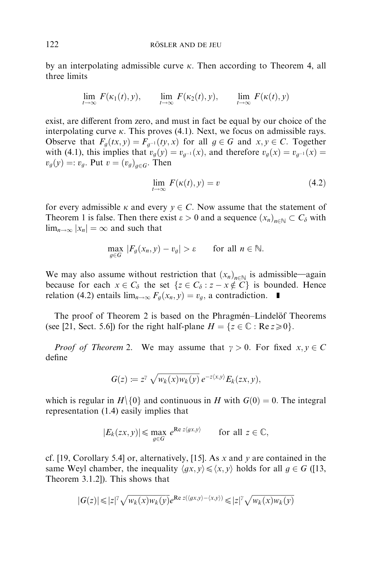by an interpolating admissible curve  $\kappa$ . Then according to Theorem 4, all three limits

$$
\lim_{t \to \infty} F(\kappa_1(t), y), \qquad \lim_{t \to \infty} F(\kappa_2(t), y), \qquad \lim_{t \to \infty} F(\kappa(t), y)
$$

exist, are different from zero, and must in fact be equal by our choice of the interpolating curve  $\kappa$ . This proves (4.1). Next, we focus on admissible rays. Observe that  $F_q(tx, y) = F_{q-1}(ty, x)$  for all  $q \in G$  and  $x, y \in C$ . Together with (4.1), this implies that  $v_q(y) = v_{q^{-1}}(x)$ , and therefore  $v_q(x) = v_{q^{-1}}(x)$  $v_q(y) =: v_q$ . Put  $v = (v_q)_{q \in G}$ . Then

$$
\lim_{t \to \infty} F(\kappa(t), y) = v \tag{4.2}
$$

for every admissible  $\kappa$  and every  $y \in C$ . Now assume that the statement of Theorem 1 is false. Then there exist  $\varepsilon > 0$  and a sequence  $(x_n)_{n \in \mathbb{N}} \subset C_\delta$  with  $\lim_{n\to\infty} |x_n| = \infty$  and such that

$$
\max_{g \in G} |F_g(x_n, y) - v_g| > \varepsilon \quad \text{for all } n \in \mathbb{N}.
$$

We may also assume without restriction that  $(x_n)_{n\in\mathbb{N}}$  is admissible—again because for each  $x \in C_{\delta}$  the set  $\{z \in C_{\delta} : z - x \notin C\}$  is bounded. Hence relation (4.2) entails  $\lim_{n\to\infty} F_q(x_n, y) = v_q$ , a contradiction.  $\blacksquare$ 

The proof of Theorem 2 is based on the Phragmén–Lindelöf Theorems (see [\[21,](#page-16-0) Sect. 5.6]) for the right half-plane  $H = \{z \in \mathbb{C} : \text{Re } z \ge 0\}.$ 

*Proof of Theorem* 2. We may assume that  $\gamma > 0$ . For fixed  $x, y \in C$ define

$$
G(z) \coloneqq z^{\gamma} \sqrt{w_k(x)w_k(y)} \, e^{-z\langle x,y\rangle} E_k(zx,y),
$$

which is regular in  $H \setminus \{0\}$  and continuous in H with  $G(0) = 0$ . The integral representation (1.4) easily implies that

$$
|E_k(zx, y)| \le \max_{g \in G} e^{\text{Re } z \langle gx, y \rangle} \quad \text{for all } z \in \mathbb{C},
$$

cf. [\[19,](#page-16-0) Corollary 5.4] or, alternatively, [\[15\].](#page-16-0) As x and y are contained in the same Weyl chamber, the inequality  $\langle gx, y \rangle \leq \langle x, y \rangle$  holds for all  $g \in G$  ([\[13,](#page-16-0) Theorem 3.1.2]). This shows that

$$
|G(z)|\!\leqslant\! |z|^\gamma \sqrt{w_k(x)w_k(y)} e^{\text{Re } z(\langle gx, y\rangle-\langle x, y\rangle)}\!\leqslant\! |z|^\gamma \sqrt{w_k(x)w_k(y)}
$$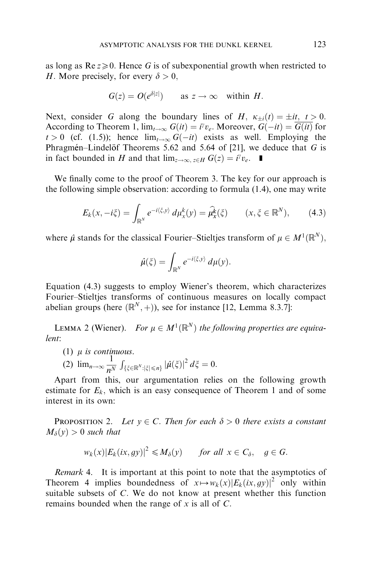as long as  $\text{Re } z \ge 0$ . Hence G is of subexponential growth when restricted to H. More precisely, for every  $\delta > 0$ .

$$
G(z) = O(e^{\delta |z|})
$$
 as  $z \to \infty$  within H.

Next, consider G along the boundary lines of H,  $\kappa_{+i}(t) = \pm it$ ,  $t > 0$ . According to Theorem 1,  $\lim_{t\to\infty} G(it) = i^{\gamma}v_e$ . Moreover,  $G(-it) = \overline{G(it)}$  for  $t > 0$  (cf. (1.5)); hence  $\lim_{t \to \infty} G(-it)$  exists as well. Employing the Phragmen–Lindel of Theorems 5.62 and 5.64 of [\[21\],](#page-16-0) we deduce that  $G$  is in fact bounded in H and that  $\lim_{z\to\infty, z\in H} G(z) = i^{\gamma}v_e$ .

We finally come to the proof of Theorem 3. The key for our approach is the following simple observation: according to formula (1.4), one may write

$$
E_k(x, -i\xi) = \int_{\mathbb{R}^N} e^{-i\langle \xi, y \rangle} d\mu_x^k(y) = \widehat{\mu}_x^k(\xi) \qquad (x, \xi \in \mathbb{R}^N), \qquad (4.3)
$$

where  $\hat{\mu}$  stands for the classical Fourier–Stieltjes transform of  $\mu \in M^1(\mathbb{R}^N)$ ,

$$
\hat{\mu}(\xi) = \int_{\mathbb{R}^N} e^{-i\langle \xi, y \rangle} d\mu(y).
$$

Equation (4.3) suggests to employ Wiener's theorem, which characterizes Fourier–Stieltjes transforms of continuous measures on locally compact abelian groups (here  $(\mathbb{R}^N, +)$ ), see for instance [\[12,](#page-16-0) Lemma 8.3.7]:

LEMMA 2 (Wiener). For  $\mu \in M^1(\mathbb{R}^N)$  the following properties are equivalent:

(1)  $\mu$  is continuous.

$$
(2) \lim_{n\to\infty}\frac{1}{n^N}\int_{\{\xi\in\mathbb{R}^N:\left|\xi\right|\leq n\}}\left|\hat{\mu}(\xi)\right|^2d\xi=0.
$$

Apart from this, our argumentation relies on the following growth estimate for  $E_k$ , which is an easy consequence of Theorem 1 and of some interest in its own:

**PROPOSITION 2.** Let  $y \in C$ . Then for each  $\delta > 0$  there exists a constant  $M_{\delta}(y) > 0$  such that

$$
w_k(x)|E_k(ix,gy)|^2 \le M_\delta(y) \quad \text{for all } x \in C_\delta, \quad g \in G.
$$

Remark 4. It is important at this point to note that the asymptotics of Theorem 4 implies boundedness of  $x \mapsto w_k(x)|E_k(ix, qy)|^2$  only within suitable subsets of C: We do not know at present whether this function remains bounded when the range of  $x$  is all of  $C$ .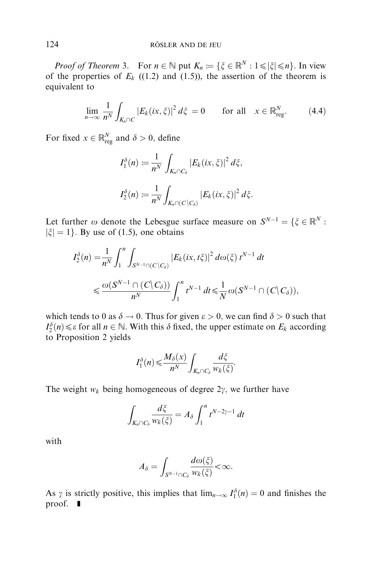*Proof of Theorem 3.* For  $n \in \mathbb{N}$  put  $K_n := \{\xi \in \mathbb{R}^N : 1 \leq |\xi| \leq n\}$ . In view of the properties of  $E_k$  ((1.2) and (1.5)), the assertion of the theorem is equivalent to

$$
\lim_{n \to \infty} \frac{1}{n^N} \int_{K_n \cap C} |E_k(ix, \xi)|^2 d\xi = 0 \quad \text{for all} \quad x \in \mathbb{R}^N_{\text{reg}}.\tag{4.4}
$$

For fixed  $x \in \mathbb{R}^N_{reg}$  and  $\delta > 0$ , define

$$
I_1^{\delta}(n) := \frac{1}{n^N} \int_{K_n \cap C_{\delta}} |E_k(ix, \xi)|^2 d\xi,
$$
  

$$
I_2^{\delta}(n) := \frac{1}{n^N} \int_{K_n \cap (C \setminus C_{\delta})} |E_k(ix, \xi)|^2 d\xi.
$$

Let further  $\omega$  denote the Lebesgue surface measure on  $S^{N-1} = \{ \xi \in \mathbb{R}^N : \xi \in \mathbb{R}^N \}$  $|\xi| = 1$ . By use of (1.5), one obtains

$$
I_2^{\delta}(n) = \frac{1}{n^N} \int_1^n \int_{S^{N-1} \cap (C \setminus C_{\delta})} |E_k(ix, t\xi)|^2 d\omega(\xi) t^{N-1} dt
$$
  
\$\leqslant \frac{\omega(S^{N-1} \cap (C \setminus C\_{\delta}))}{n^N} \int\_1^n t^{N-1} dt \leqslant \frac{1}{N} \omega(S^{N-1} \cap (C \setminus C\_{\delta})),

which tends to 0 as  $\delta \to 0$ . Thus for given  $\epsilon > 0$ , we can find  $\delta > 0$  such that  $I_2^{\delta}(n) \leq \varepsilon$  for all  $n \in \mathbb{N}$ . With this  $\delta$  fixed, the upper estimate on  $E_k$  according to Proposition 2 yields

$$
I_1^{\delta}(n) \leqslant \frac{M_{\delta}(x)}{n^N} \int_{K_n \cap C_{\delta}} \frac{d\xi}{w_k(\xi)}.
$$

The weight  $w_k$  being homogeneous of degree  $2\gamma$ , we further have

$$
\int_{K_n \cap C_\delta} \frac{d\xi}{w_k(\xi)} = A_\delta \int_1^n t^{N-2\gamma-1} dt
$$

with

$$
A_{\delta} = \int_{S^{N-1} \cap C_{\delta}} \frac{d\omega(\xi)}{w_k(\xi)} < \infty.
$$

As  $\gamma$  is strictly positive, this implies that  $\lim_{n\to\infty} I_1^{\delta}(n) = 0$  and finishes the proof.  $\blacksquare$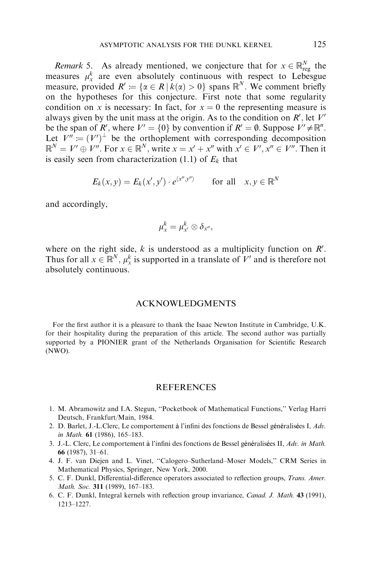<span id="page-15-0"></span>*Remark* 5. As already mentioned, we conjecture that for  $x \in \mathbb{R}^N_{reg}$  the measures  $\mu_x^k$  are even absolutely continuous with respect to Lebesgue measure, provided  $R' := \{ \alpha \in R \mid k(\alpha) > 0 \}$  spans  $\mathbb{R}^N$ . We comment briefly on the hypotheses for this conjecture. First note that some regularity condition on x is necessary: In fact, for  $x = 0$  the representing measure is always given by the unit mass at the origin. As to the condition on  $R'$ , let  $V'$ be the span of R', where  $V' = \{0\}$  by convention if  $R' = \emptyset$ . Suppose  $V' \neq \mathbb{R}^n$ . Let  $V'' = (V')^{\perp}$  be the orthoplement with corresponding decomposition  $\mathbb{R}^N = V' \oplus V''$ . For  $x \in \mathbb{R}^N$ , write  $x = x' + x''$  with  $x' \in V', x'' \in V''$ . Then it is easily seen from characterization (1.1) of  $E<sub>k</sub>$  that

$$
E_k(x, y) = E_k(x', y') \cdot e^{\langle x'', y'' \rangle} \quad \text{for all} \quad x, y \in \mathbb{R}^N
$$

and accordingly,

$$
\mu_x^k = \mu_{x'}^k \otimes \delta_{x''},
$$

where on the right side,  $k$  is understood as a multiplicity function on  $R'$ . Thus for all  $x \in \mathbb{R}^N$ ,  $\mu_x^k$  is supported in a translate of  $V'$  and is therefore not absolutely continuous.

## ACKNOWLEDGMENTS

For the first author it is a pleasure to thank the Isaac Newton Institute in Cambridge, U.K. for their hospitality during the preparation of this article. The second author was partially supported by a PIONIER grant of the Netherlands Organisation for Scientific Research (NWO).

#### **REFERENCES**

- 1. M. Abramowitz and I.A. Stegun, ''Pocketbook of Mathematical Functions,'' Verlag Harri Deutsch, Frankfurt/Main, 1984.
- 2. D. Barlet, J.-L.Clerc, Le comportement à l'infini des fonctions de Bessel généralisées I,  $Adv$ . in Math. 61 (1986), 165–183.
- 3. J.-L. Clerc, Le comportement à l'infini des fonctions de Bessel généralisées II,  $Adv.$  in Math. 66 (1987), 31–61.
- 4. J. F. van Diejen and L. Vinet, ''Calogero–Sutherland–Moser Models,'' CRM Series in Mathematical Physics, Springer, New York, 2000.
- 5. C. F. Dunkl, Differential-difference operators associated to reflection groups, Trans. Amer. Math. Soc. 311 (1989), 167–183.
- 6. C. F. Dunkl, Integral kernels with reflection group invariance, Canad. J. Math. 43 (1991), 1213–1227.